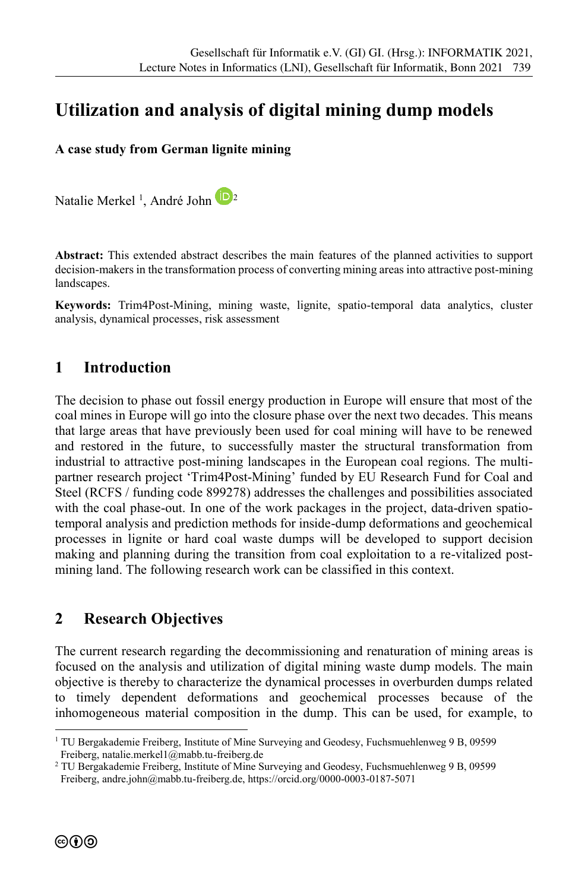# **Utilization and analysis of digital mining dump models**

#### **A case study from German lignite mining**

Natalie Merkel<sup>1</sup>, André John 22

**Abstract:** This extended abstract describes the main features of the planned activities to support decision-makers in the transformation process of converting mining areas into attractive post-mining landscapes.

**Keywords:** Trim4Post-Mining, mining waste, lignite, spatio-temporal data analytics, cluster analysis, dynamical processes, risk assessment

### **1 Introduction**

The decision to phase out fossil energy production in Europe will ensure that most of the coal mines in Europe will go into the closure phase over the next two decades. This means that large areas that have previously been used for coal mining will have to be renewed and restored in the future, to successfully master the structural transformation from industrial to attractive post-mining landscapes in the European coal regions. The multipartner research project 'Trim4Post-Mining' funded by EU Research Fund for Coal and Steel (RCFS / funding code 899278) addresses the challenges and possibilities associated with the coal phase-out. In one of the work packages in the project, data-driven spatiotemporal analysis and prediction methods for inside-dump deformations and geochemical processes in lignite or hard coal waste dumps will be developed to support decision making and planning during the transition from coal exploitation to a re-vitalized postmining land. The following research work can be classified in this context.

### **2 Research Objectives**

The current research regarding the decommissioning and renaturation of mining areas is focused on the analysis and utilization of digital mining waste dump models. The main objective is thereby to characterize the dynamical processes in overburden dumps related to timely dependent deformations and geochemical processes because of the inhomogeneous material composition in the dump. This can be used, for example, to

-

<sup>&</sup>lt;sup>1</sup> TU Bergakademie Freiberg, Institute of Mine Surveying and Geodesy, Fuchsmuehlenweg 9 B, 09599 Freiberg, natalie.merkel1@mabb.tu-freiberg.de

<sup>&</sup>lt;sup>2</sup> TU Bergakademie Freiberg, Institute of Mine Surveying and Geodesy, Fuchsmuehlenweg 9 B, 09599 Freiberg, andre.john@mabb.tu-freiberg.de, https://orcid.org/0000-0003-0187-5071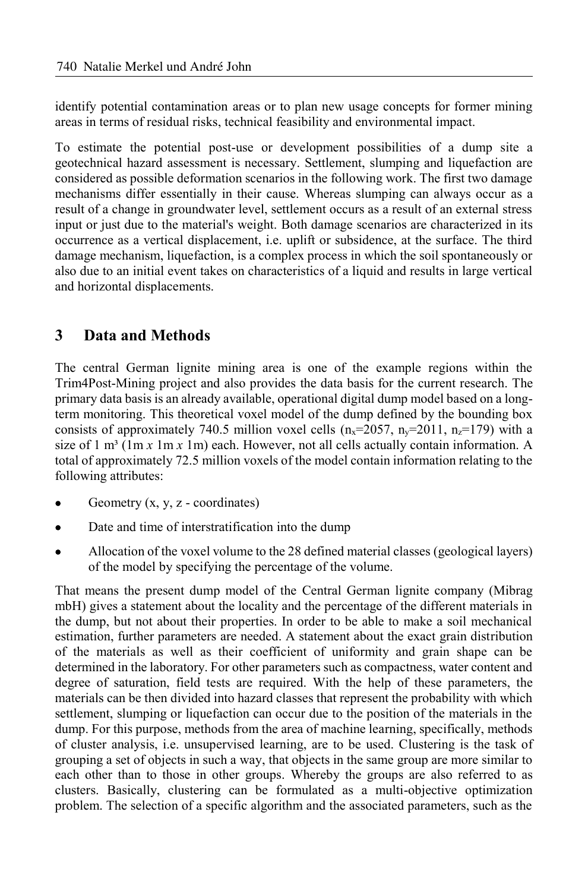identify potential contamination areas or to plan new usage concepts for former mining areas in terms of residual risks, technical feasibility and environmental impact.

To estimate the potential post-use or development possibilities of a dump site a geotechnical hazard assessment is necessary. Settlement, slumping and liquefaction are considered as possible deformation scenarios in the following work. The first two damage mechanisms differ essentially in their cause. Whereas slumping can always occur as a result of a change in groundwater level, settlement occurs as a result of an external stress input or just due to the material's weight. Both damage scenarios are characterized in its occurrence as a vertical displacement, i.e. uplift or subsidence, at the surface. The third damage mechanism, liquefaction, is a complex process in which the soil spontaneously or also due to an initial event takes on characteristics of a liquid and results in large vertical and horizontal displacements.

## **3 Data and Methods**

The central German lignite mining area is one of the example regions within the Trim4Post-Mining project and also provides the data basis for the current research. The primary data basis is an already available, operational digital dump model based on a longterm monitoring. This theoretical voxel model of the dump defined by the bounding box consists of approximately 740.5 million voxel cells  $(n_x=2057, n_y=2011, n_z=179)$  with a size of 1 m<sup>3</sup> (1m  $x$  1m  $x$  1m) each. However, not all cells actually contain information. A total of approximately 72.5 million voxels of the model contain information relating to the following attributes:

- Geometry (x, y, z coordinates)
- Date and time of interstratification into the dump
- Allocation of the voxel volume to the 28 defined material classes (geological layers) of the model by specifying the percentage of the volume.

That means the present dump model of the Central German lignite company (Mibrag mbH) gives a statement about the locality and the percentage of the different materials in the dump, but not about their properties. In order to be able to make a soil mechanical estimation, further parameters are needed. A statement about the exact grain distribution of the materials as well as their coefficient of uniformity and grain shape can be determined in the laboratory. For other parameters such as compactness, water content and degree of saturation, field tests are required. With the help of these parameters, the materials can be then divided into hazard classes that represent the probability with which settlement, slumping or liquefaction can occur due to the position of the materials in the dump. For this purpose, methods from the area of machine learning, specifically, methods of cluster analysis, i.e. unsupervised learning, are to be used. Clustering is the task of grouping a set of objects in such a way, that objects in the same group are more similar to each other than to those in other groups. Whereby the groups are also referred to as clusters. Basically, clustering can be formulated as a multi-objective optimization problem. The selection of a specific algorithm and the associated parameters, such as the